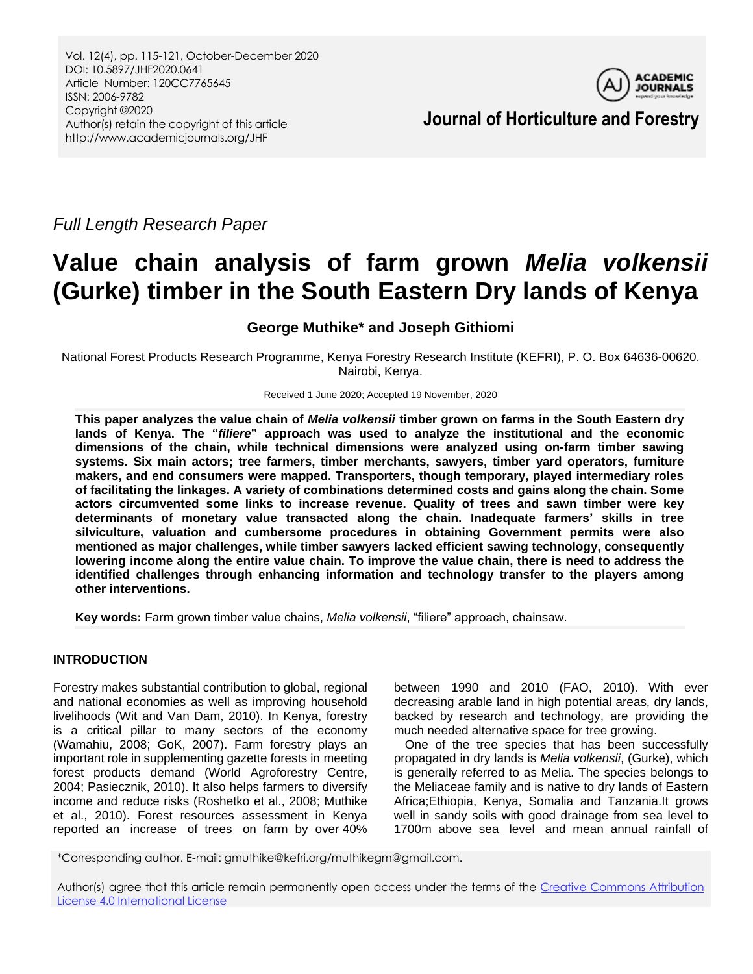Vol. 12(4), pp. 115-121, October-December 2020 DOI: 10.5897/JHF2020.0641 Article Number: 120CC7765645 ISSN: 2006-9782 Copyright ©2020 Author(s) retain the copyright of this article http://www.academicjournals.org/JHF



**Journal of Horticulture and Forestry**

*Full Length Research Paper*

# **Value chain analysis of farm grown** *Melia volkensii* **(Gurke) timber in the South Eastern Dry lands of Kenya**

**George Muthike\* and Joseph Githiomi**

National Forest Products Research Programme, Kenya Forestry Research Institute (KEFRI), P. O. Box 64636-00620. Nairobi, Kenya.

Received 1 June 2020; Accepted 19 November, 2020

**This paper analyzes the value chain of** *Melia volkensii* **timber grown on farms in the South Eastern dry lands of Kenya. The "***filiere***" approach was used to analyze the institutional and the economic dimensions of the chain, while technical dimensions were analyzed using on-farm timber sawing systems. Six main actors; tree farmers, timber merchants, sawyers, timber yard operators, furniture makers, and end consumers were mapped. Transporters, though temporary, played intermediary roles of facilitating the linkages. A variety of combinations determined costs and gains along the chain. Some actors circumvented some links to increase revenue. Quality of trees and sawn timber were key determinants of monetary value transacted along the chain. Inadequate farmers' skills in tree silviculture, valuation and cumbersome procedures in obtaining Government permits were also mentioned as major challenges, while timber sawyers lacked efficient sawing technology, consequently lowering income along the entire value chain. To improve the value chain, there is need to address the identified challenges through enhancing information and technology transfer to the players among other interventions.**

**Key words:** Farm grown timber value chains, *Melia volkensii*, "filiere" approach, chainsaw.

## **INTRODUCTION**

Forestry makes substantial contribution to global, regional and national economies as well as improving household livelihoods (Wit and Van Dam, 2010). In Kenya, forestry is a critical pillar to many sectors of the economy (Wamahiu, 2008; GoK, 2007). Farm forestry plays an important role in supplementing gazette forests in meeting forest products demand (World Agroforestry Centre, 2004; Pasiecznik, 2010). It also helps farmers to diversify income and reduce risks (Roshetko et al., 2008; Muthike et al., 2010). Forest resources assessment in Kenya reported an increase of trees on farm by over 40%

between 1990 and 2010 (FAO, 2010). With ever decreasing arable land in high potential areas, dry lands, backed by research and technology, are providing the much needed alternative space for tree growing.

One of the tree species that has been successfully propagated in dry lands is *Melia volkensii*, (Gurke), which is generally referred to as Melia. The species belongs to the Meliaceae family and is native to dry lands of Eastern Africa;Ethiopia, Kenya, Somalia and Tanzania.It grows well in sandy soils with good drainage from sea level to 1700m above sea level and mean annual rainfall of

\*Corresponding author. E-mail: gmuthike@kefri.org/muthikegm@gmail.com.

Author(s) agree that this article remain permanently open access under the terms of the Creative Commons Attribution [License 4.0 International License](http://creativecommons.org/licenses/by/4.0/deed.en_US)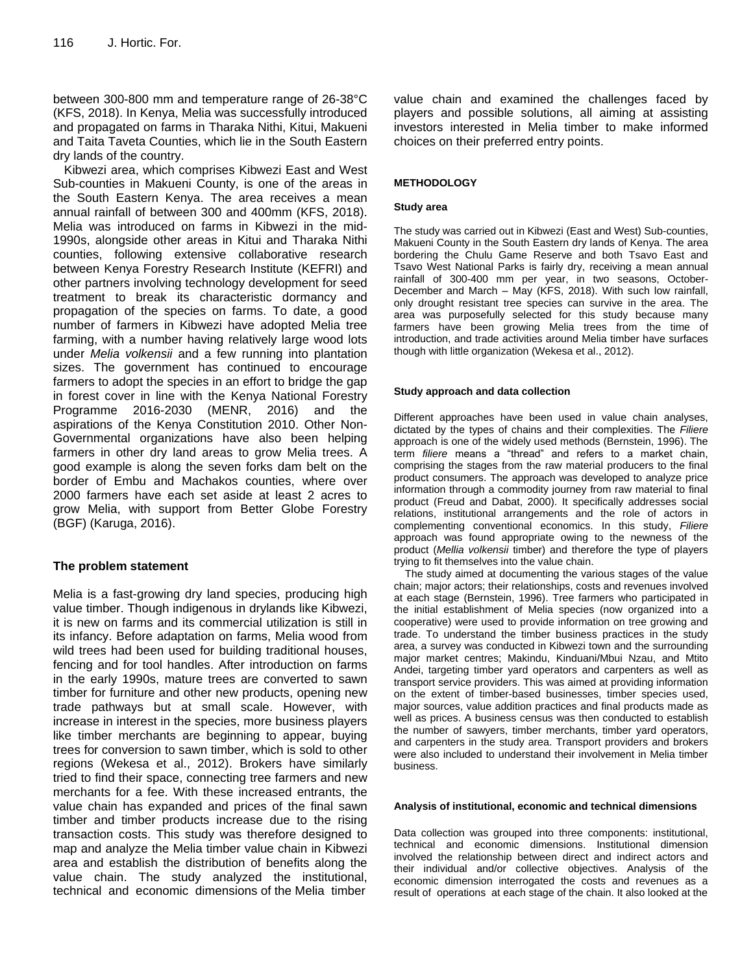between 300-800 mm and temperature range of 26-38°C (KFS, 2018). In Kenya, Melia was successfully introduced and propagated on farms in Tharaka Nithi, Kitui, Makueni and Taita Taveta Counties, which lie in the South Eastern dry lands of the country.

Kibwezi area, which comprises Kibwezi East and West Sub-counties in Makueni County, is one of the areas in the South Eastern Kenya. The area receives a mean annual rainfall of between 300 and 400mm (KFS, 2018). Melia was introduced on farms in Kibwezi in the mid-1990s, alongside other areas in Kitui and Tharaka Nithi counties, following extensive collaborative research between Kenya Forestry Research Institute (KEFRI) and other partners involving technology development for seed treatment to break its characteristic dormancy and propagation of the species on farms. To date, a good number of farmers in Kibwezi have adopted Melia tree farming, with a number having relatively large wood lots under *Melia volkensii* and a few running into plantation sizes. The government has continued to encourage farmers to adopt the species in an effort to bridge the gap in forest cover in line with the Kenya National Forestry Programme 2016-2030 (MENR, 2016) and the aspirations of the Kenya Constitution 2010. Other Non-Governmental organizations have also been helping farmers in other dry land areas to grow Melia trees. A good example is along the seven forks dam belt on the border of Embu and Machakos counties, where over 2000 farmers have each set aside at least 2 acres to grow Melia, with support from Better Globe Forestry (BGF) (Karuga, 2016).

## **The problem statement**

Melia is a fast-growing dry land species, producing high value timber. Though indigenous in drylands like Kibwezi, it is new on farms and its commercial utilization is still in its infancy. Before adaptation on farms, Melia wood from wild trees had been used for building traditional houses, fencing and for tool handles. After introduction on farms in the early 1990s, mature trees are converted to sawn timber for furniture and other new products, opening new trade pathways but at small scale. However, with increase in interest in the species, more business players like timber merchants are beginning to appear, buying trees for conversion to sawn timber, which is sold to other regions (Wekesa et al., 2012). Brokers have similarly tried to find their space, connecting tree farmers and new merchants for a fee. With these increased entrants, the value chain has expanded and prices of the final sawn timber and timber products increase due to the rising transaction costs. This study was therefore designed to map and analyze the Melia timber value chain in Kibwezi area and establish the distribution of benefits along the value chain. The study analyzed the institutional, technical and economic dimensions of the Melia timber

value chain and examined the challenges faced by players and possible solutions, all aiming at assisting investors interested in Melia timber to make informed choices on their preferred entry points.

#### **METHODOLOGY**

#### **Study area**

The study was carried out in Kibwezi (East and West) Sub-counties, Makueni County in the South Eastern dry lands of Kenya. The area bordering the Chulu Game Reserve and both Tsavo East and Tsavo West National Parks is fairly dry, receiving a mean annual rainfall of 300-400 mm per year, in two seasons, October-December and March – May (KFS, 2018). With such low rainfall, only drought resistant tree species can survive in the area. The area was purposefully selected for this study because many farmers have been growing Melia trees from the time of introduction, and trade activities around Melia timber have surfaces though with little organization (Wekesa et al., 2012).

#### **Study approach and data collection**

Different approaches have been used in value chain analyses, dictated by the types of chains and their complexities. The *Filiere* approach is one of the widely used methods (Bernstein, 1996). The term *filiere* means a "thread" and refers to a market chain, comprising the stages from the raw material producers to the final product consumers. The approach was developed to analyze price information through a commodity journey from raw material to final product (Freud and Dabat, 2000). It specifically addresses social relations, institutional arrangements and the role of actors in complementing conventional economics. In this study, *Filiere* approach was found appropriate owing to the newness of the product (*Mellia volkensii* timber) and therefore the type of players trying to fit themselves into the value chain.

The study aimed at documenting the various stages of the value chain; major actors; their relationships, costs and revenues involved at each stage (Bernstein, 1996). Tree farmers who participated in the initial establishment of Melia species (now organized into a cooperative) were used to provide information on tree growing and trade. To understand the timber business practices in the study area, a survey was conducted in Kibwezi town and the surrounding major market centres; Makindu, Kinduani/Mbui Nzau, and Mtito Andei, targeting timber yard operators and carpenters as well as transport service providers. This was aimed at providing information on the extent of timber-based businesses, timber species used, major sources, value addition practices and final products made as well as prices. A business census was then conducted to establish the number of sawyers, timber merchants, timber yard operators, and carpenters in the study area. Transport providers and brokers were also included to understand their involvement in Melia timber business.

#### **Analysis of institutional, economic and technical dimensions**

Data collection was grouped into three components: institutional, technical and economic dimensions. Institutional dimension involved the relationship between direct and indirect actors and their individual and/or collective objectives. Analysis of the economic dimension interrogated the costs and revenues as a result of operations at each stage of the chain. It also looked at the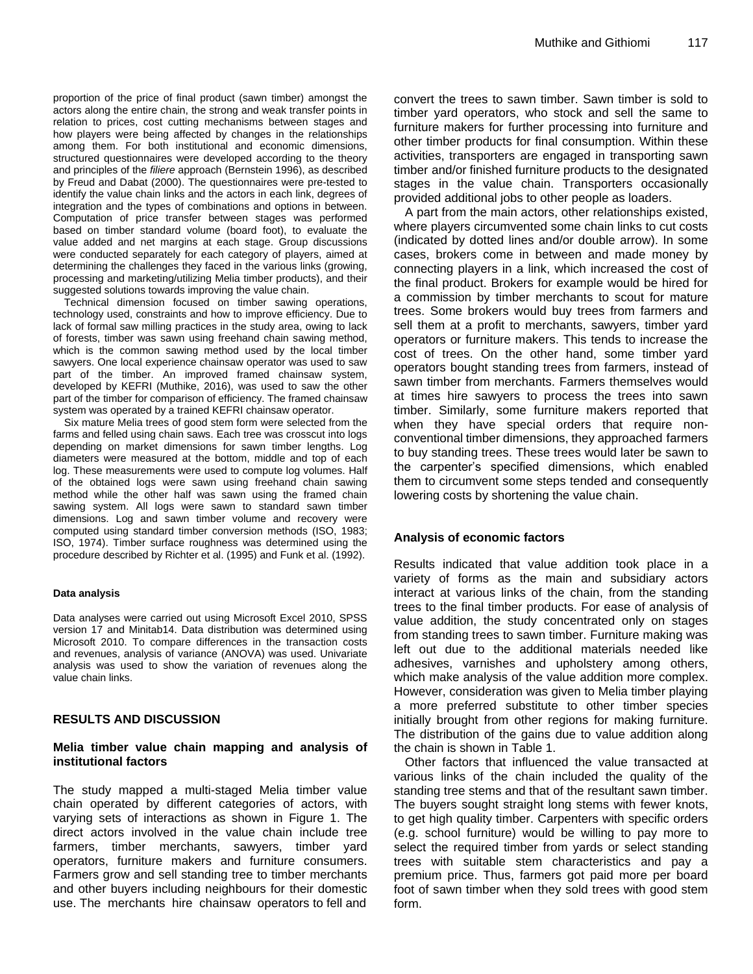proportion of the price of final product (sawn timber) amongst the actors along the entire chain, the strong and weak transfer points in relation to prices, cost cutting mechanisms between stages and how players were being affected by changes in the relationships among them. For both institutional and economic dimensions, structured questionnaires were developed according to the theory and principles of the *filiere* approach (Bernstein 1996), as described by Freud and Dabat (2000). The questionnaires were pre-tested to identify the value chain links and the actors in each link, degrees of integration and the types of combinations and options in between. Computation of price transfer between stages was performed based on timber standard volume (board foot), to evaluate the value added and net margins at each stage. Group discussions were conducted separately for each category of players, aimed at determining the challenges they faced in the various links (growing, processing and marketing/utilizing Melia timber products), and their suggested solutions towards improving the value chain.

Technical dimension focused on timber sawing operations, technology used, constraints and how to improve efficiency. Due to lack of formal saw milling practices in the study area, owing to lack of forests, timber was sawn using freehand chain sawing method, which is the common sawing method used by the local timber sawyers. One local experience chainsaw operator was used to saw part of the timber. An improved framed chainsaw system, developed by KEFRI (Muthike, 2016), was used to saw the other part of the timber for comparison of efficiency. The framed chainsaw system was operated by a trained KEFRI chainsaw operator.

Six mature Melia trees of good stem form were selected from the farms and felled using chain saws. Each tree was crosscut into logs depending on market dimensions for sawn timber lengths. Log diameters were measured at the bottom, middle and top of each log. These measurements were used to compute log volumes. Half of the obtained logs were sawn using freehand chain sawing method while the other half was sawn using the framed chain sawing system. All logs were sawn to standard sawn timber dimensions. Log and sawn timber volume and recovery were computed using standard timber conversion methods (ISO, 1983; ISO, 1974). Timber surface roughness was determined using the procedure described by Richter et al. (1995) and Funk et al. (1992).

#### **Data analysis**

Data analyses were carried out using Microsoft Excel 2010, SPSS version 17 and Minitab14. Data distribution was determined using Microsoft 2010. To compare differences in the transaction costs and revenues, analysis of variance (ANOVA) was used. Univariate analysis was used to show the variation of revenues along the value chain links.

## **RESULTS AND DISCUSSION**

#### **Melia timber value chain mapping and analysis of institutional factors**

The study mapped a multi-staged Melia timber value chain operated by different categories of actors, with varying sets of interactions as shown in Figure 1. The direct actors involved in the value chain include tree farmers, timber merchants, sawyers, timber yard operators, furniture makers and furniture consumers. Farmers grow and sell standing tree to timber merchants and other buyers including neighbours for their domestic use. The merchants hire chainsaw operators to fell and convert the trees to sawn timber. Sawn timber is sold to timber yard operators, who stock and sell the same to furniture makers for further processing into furniture and other timber products for final consumption. Within these activities, transporters are engaged in transporting sawn timber and/or finished furniture products to the designated stages in the value chain. Transporters occasionally provided additional jobs to other people as loaders.

A part from the main actors, other relationships existed, where players circumvented some chain links to cut costs (indicated by dotted lines and/or double arrow). In some cases, brokers come in between and made money by connecting players in a link, which increased the cost of the final product. Brokers for example would be hired for a commission by timber merchants to scout for mature trees. Some brokers would buy trees from farmers and sell them at a profit to merchants, sawyers, timber yard operators or furniture makers. This tends to increase the cost of trees. On the other hand, some timber yard operators bought standing trees from farmers, instead of sawn timber from merchants. Farmers themselves would at times hire sawyers to process the trees into sawn timber. Similarly, some furniture makers reported that when they have special orders that require nonconventional timber dimensions, they approached farmers to buy standing trees. These trees would later be sawn to the carpenter's specified dimensions, which enabled them to circumvent some steps tended and consequently lowering costs by shortening the value chain.

## **Analysis of economic factors**

Results indicated that value addition took place in a variety of forms as the main and subsidiary actors interact at various links of the chain, from the standing trees to the final timber products. For ease of analysis of value addition, the study concentrated only on stages from standing trees to sawn timber. Furniture making was left out due to the additional materials needed like adhesives, varnishes and upholstery among others, which make analysis of the value addition more complex. However, consideration was given to Melia timber playing a more preferred substitute to other timber species initially brought from other regions for making furniture. The distribution of the gains due to value addition along the chain is shown in Table 1.

Other factors that influenced the value transacted at various links of the chain included the quality of the standing tree stems and that of the resultant sawn timber. The buyers sought straight long stems with fewer knots, to get high quality timber. Carpenters with specific orders (e.g. school furniture) would be willing to pay more to select the required timber from yards or select standing trees with suitable stem characteristics and pay a premium price. Thus, farmers got paid more per board foot of sawn timber when they sold trees with good stem form.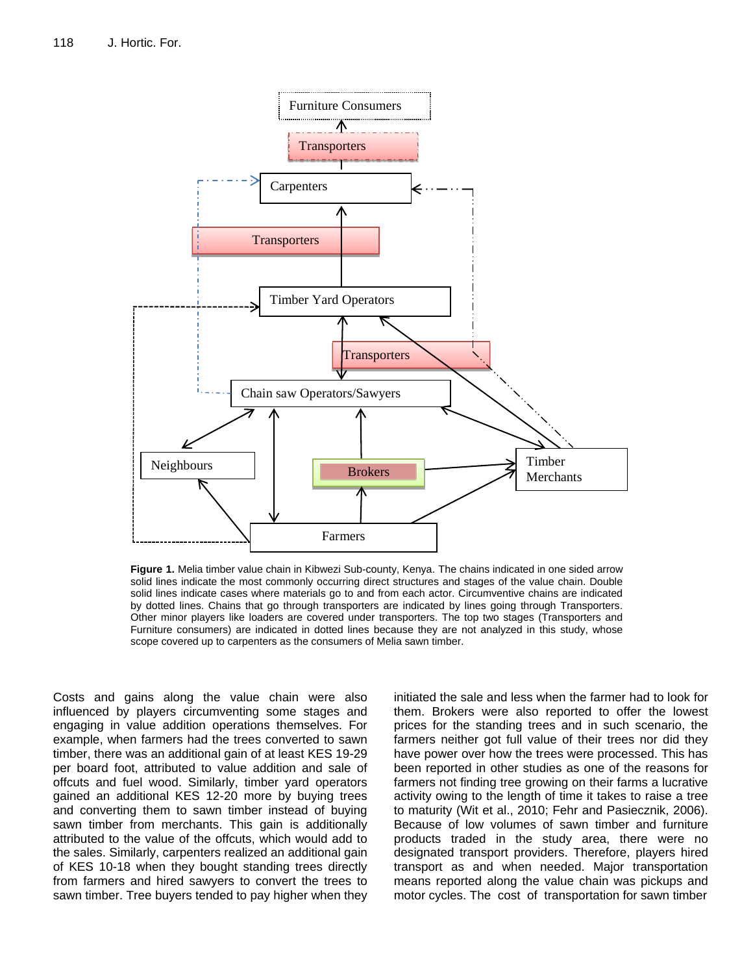

**Figure 1.** Melia timber value chain in Kibwezi Sub-county, Kenya. The chains indicated in one sided arrow solid lines indicate the most commonly occurring direct structures and stages of the value chain. Double solid lines indicate cases where materials go to and from each actor. Circumventive chains are indicated by dotted lines. Chains that go through transporters are indicated by lines going through Transporters. Other minor players like loaders are covered under transporters. The top two stages (Transporters and Furniture consumers) are indicated in dotted lines because they are not analyzed in this study, whose scope covered up to carpenters as the consumers of Melia sawn timber.

Costs and gains along the value chain were also influenced by players circumventing some stages and engaging in value addition operations themselves. For example, when farmers had the trees converted to sawn timber, there was an additional gain of at least KES 19-29 per board foot, attributed to value addition and sale of offcuts and fuel wood. Similarly, timber yard operators gained an additional KES 12-20 more by buying trees and converting them to sawn timber instead of buying sawn timber from merchants. This gain is additionally attributed to the value of the offcuts, which would add to the sales. Similarly, carpenters realized an additional gain of KES 10-18 when they bought standing trees directly from farmers and hired sawyers to convert the trees to sawn timber. Tree buyers tended to pay higher when they initiated the sale and less when the farmer had to look for them. Brokers were also reported to offer the lowest prices for the standing trees and in such scenario, the farmers neither got full value of their trees nor did they have power over how the trees were processed. This has been reported in other studies as one of the reasons for farmers not finding tree growing on their farms a lucrative activity owing to the length of time it takes to raise a tree to maturity (Wit et al., 2010; Fehr and Pasiecznik, 2006). Because of low volumes of sawn timber and furniture products traded in the study area, there were no designated transport providers. Therefore, players hired transport as and when needed. Major transportation means reported along the value chain was pickups and motor cycles. The cost of transportation for sawn timber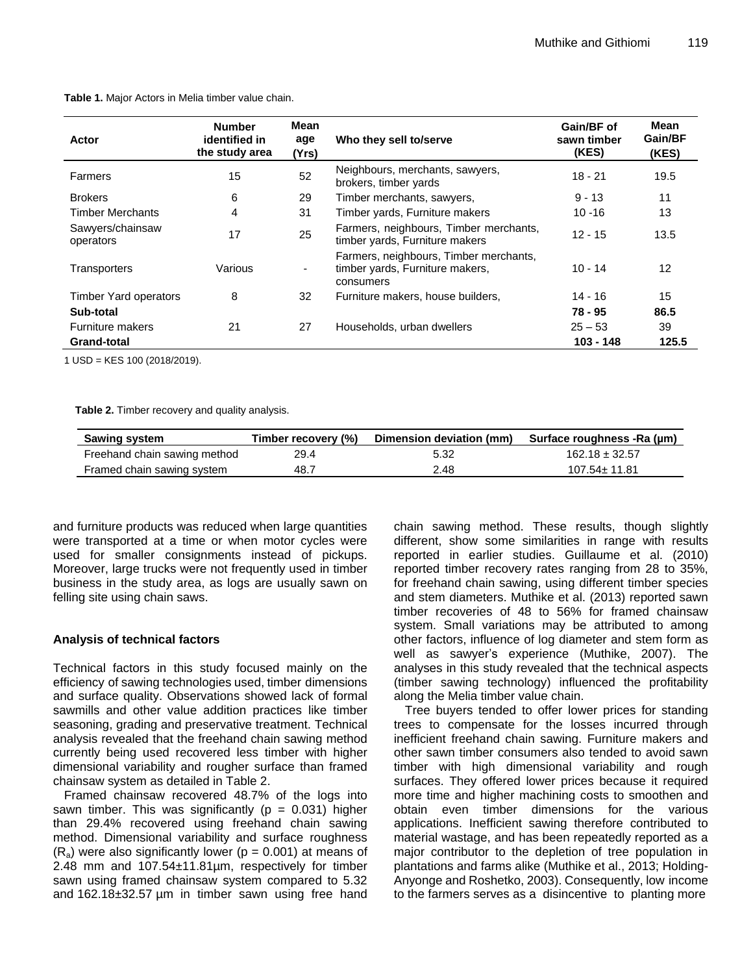| Actor                         | <b>Number</b><br>identified in<br>the study area | <b>Mean</b><br>age<br>(Yrs) | Who they sell to/serve                                                                 | Gain/BF of<br>sawn timber<br>(KES) | <b>Mean</b><br>Gain/BF<br>(KES) |
|-------------------------------|--------------------------------------------------|-----------------------------|----------------------------------------------------------------------------------------|------------------------------------|---------------------------------|
| <b>Farmers</b>                | 15                                               | 52                          | Neighbours, merchants, sawyers,<br>brokers, timber yards                               | $18 - 21$                          | 19.5                            |
| <b>Brokers</b>                | 6                                                | 29                          | Timber merchants, sawyers,                                                             | $9 - 13$                           | 11                              |
| Timber Merchants              | 4                                                | 31                          | Timber yards, Furniture makers                                                         | $10 - 16$                          | 13                              |
| Sawyers/chainsaw<br>operators | 17                                               | 25                          | Farmers, neighbours, Timber merchants,<br>timber yards, Furniture makers               | $12 - 15$                          | 13.5                            |
| Transporters                  | Various                                          | ۰                           | Farmers, neighbours, Timber merchants,<br>timber yards, Furniture makers,<br>consumers | $10 - 14$                          | 12                              |
| <b>Timber Yard operators</b>  | 8                                                | 32                          | Furniture makers, house builders,                                                      | 14 - 16                            | 15                              |
| Sub-total                     |                                                  |                             |                                                                                        | 78 - 95                            | 86.5                            |
| <b>Furniture makers</b>       | 21                                               | 27                          | Households, urban dwellers                                                             | $25 - 53$                          | 39                              |
| Grand-total                   |                                                  |                             |                                                                                        | $103 - 148$                        | 125.5                           |

**Table 1.** Major Actors in Melia timber value chain.

1 USD = KES 100 (2018/2019).

**Table 2.** Timber recovery and quality analysis.

| <b>Sawing system</b>         | Timber recovery (%) | Dimension deviation (mm) | Surface roughness -Ra (µm) |
|------------------------------|---------------------|--------------------------|----------------------------|
| Freehand chain sawing method | 29.4                | 5.32                     | $162.18 \pm 32.57$         |
| Framed chain sawing system   | 48.7                | 2.48                     | $107.54 \pm 11.81$         |

and furniture products was reduced when large quantities were transported at a time or when motor cycles were used for smaller consignments instead of pickups. Moreover, large trucks were not frequently used in timber business in the study area, as logs are usually sawn on felling site using chain saws.

## **Analysis of technical factors**

Technical factors in this study focused mainly on the efficiency of sawing technologies used, timber dimensions and surface quality. Observations showed lack of formal sawmills and other value addition practices like timber seasoning, grading and preservative treatment. Technical analysis revealed that the freehand chain sawing method currently being used recovered less timber with higher dimensional variability and rougher surface than framed chainsaw system as detailed in Table 2.

Framed chainsaw recovered 48.7% of the logs into sawn timber. This was significantly ( $p = 0.031$ ) higher than 29.4% recovered using freehand chain sawing method. Dimensional variability and surface roughness  $(R_a)$  were also significantly lower ( $p = 0.001$ ) at means of 2.48 mm and  $107.54 \pm 11.81 \mu m$ , respectively for timber sawn using framed chainsaw system compared to 5.32 and 162.18±32.57 µm in timber sawn using free hand chain sawing method. These results, though slightly different, show some similarities in range with results reported in earlier studies. Guillaume et al. (2010) reported timber recovery rates ranging from 28 to 35%, for freehand chain sawing, using different timber species and stem diameters. Muthike et al. (2013) reported sawn timber recoveries of 48 to 56% for framed chainsaw system. Small variations may be attributed to among other factors, influence of log diameter and stem form as well as sawyer's experience (Muthike, 2007). The analyses in this study revealed that the technical aspects (timber sawing technology) influenced the profitability along the Melia timber value chain.

Tree buyers tended to offer lower prices for standing trees to compensate for the losses incurred through inefficient freehand chain sawing. Furniture makers and other sawn timber consumers also tended to avoid sawn timber with high dimensional variability and rough surfaces. They offered lower prices because it required more time and higher machining costs to smoothen and obtain even timber dimensions for the various applications. Inefficient sawing therefore contributed to material wastage, and has been repeatedly reported as a major contributor to the depletion of tree population in plantations and farms alike (Muthike et al., 2013; Holding-Anyonge and Roshetko, 2003). Consequently, low income to the farmers serves as a disincentive to planting more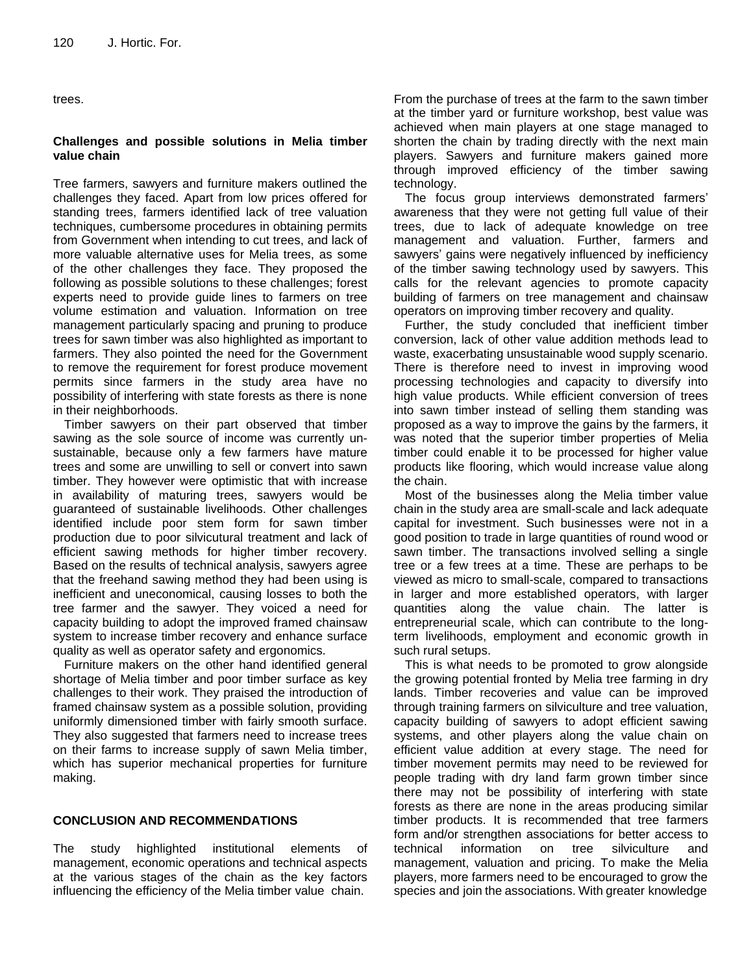trees.

## **Challenges and possible solutions in Melia timber value chain**

Tree farmers, sawyers and furniture makers outlined the challenges they faced. Apart from low prices offered for standing trees, farmers identified lack of tree valuation techniques, cumbersome procedures in obtaining permits from Government when intending to cut trees, and lack of more valuable alternative uses for Melia trees, as some of the other challenges they face. They proposed the following as possible solutions to these challenges; forest experts need to provide guide lines to farmers on tree volume estimation and valuation. Information on tree management particularly spacing and pruning to produce trees for sawn timber was also highlighted as important to farmers. They also pointed the need for the Government to remove the requirement for forest produce movement permits since farmers in the study area have no possibility of interfering with state forests as there is none in their neighborhoods.

Timber sawyers on their part observed that timber sawing as the sole source of income was currently unsustainable, because only a few farmers have mature trees and some are unwilling to sell or convert into sawn timber. They however were optimistic that with increase in availability of maturing trees, sawyers would be guaranteed of sustainable livelihoods. Other challenges identified include poor stem form for sawn timber production due to poor silvicutural treatment and lack of efficient sawing methods for higher timber recovery. Based on the results of technical analysis, sawyers agree that the freehand sawing method they had been using is inefficient and uneconomical, causing losses to both the tree farmer and the sawyer. They voiced a need for capacity building to adopt the improved framed chainsaw system to increase timber recovery and enhance surface quality as well as operator safety and ergonomics.

Furniture makers on the other hand identified general shortage of Melia timber and poor timber surface as key challenges to their work. They praised the introduction of framed chainsaw system as a possible solution, providing uniformly dimensioned timber with fairly smooth surface. They also suggested that farmers need to increase trees on their farms to increase supply of sawn Melia timber, which has superior mechanical properties for furniture making.

## **CONCLUSION AND RECOMMENDATIONS**

The study highlighted institutional elements of management, economic operations and technical aspects at the various stages of the chain as the key factors influencing the efficiency of the Melia timber value chain.

From the purchase of trees at the farm to the sawn timber at the timber yard or furniture workshop, best value was achieved when main players at one stage managed to shorten the chain by trading directly with the next main players. Sawyers and furniture makers gained more through improved efficiency of the timber sawing technology.

The focus group interviews demonstrated farmers' awareness that they were not getting full value of their trees, due to lack of adequate knowledge on tree management and valuation. Further, farmers and sawyers' gains were negatively influenced by inefficiency of the timber sawing technology used by sawyers. This calls for the relevant agencies to promote capacity building of farmers on tree management and chainsaw operators on improving timber recovery and quality.

Further, the study concluded that inefficient timber conversion, lack of other value addition methods lead to waste, exacerbating unsustainable wood supply scenario. There is therefore need to invest in improving wood processing technologies and capacity to diversify into high value products. While efficient conversion of trees into sawn timber instead of selling them standing was proposed as a way to improve the gains by the farmers, it was noted that the superior timber properties of Melia timber could enable it to be processed for higher value products like flooring, which would increase value along the chain.

Most of the businesses along the Melia timber value chain in the study area are small-scale and lack adequate capital for investment. Such businesses were not in a good position to trade in large quantities of round wood or sawn timber. The transactions involved selling a single tree or a few trees at a time. These are perhaps to be viewed as micro to small-scale, compared to transactions in larger and more established operators, with larger quantities along the value chain. The latter is entrepreneurial scale, which can contribute to the longterm livelihoods, employment and economic growth in such rural setups.

This is what needs to be promoted to grow alongside the growing potential fronted by Melia tree farming in dry lands. Timber recoveries and value can be improved through training farmers on silviculture and tree valuation, capacity building of sawyers to adopt efficient sawing systems, and other players along the value chain on efficient value addition at every stage. The need for timber movement permits may need to be reviewed for people trading with dry land farm grown timber since there may not be possibility of interfering with state forests as there are none in the areas producing similar timber products. It is recommended that tree farmers form and/or strengthen associations for better access to technical information on tree silviculture and management, valuation and pricing. To make the Melia players, more farmers need to be encouraged to grow the species and join the associations. With greater knowledge